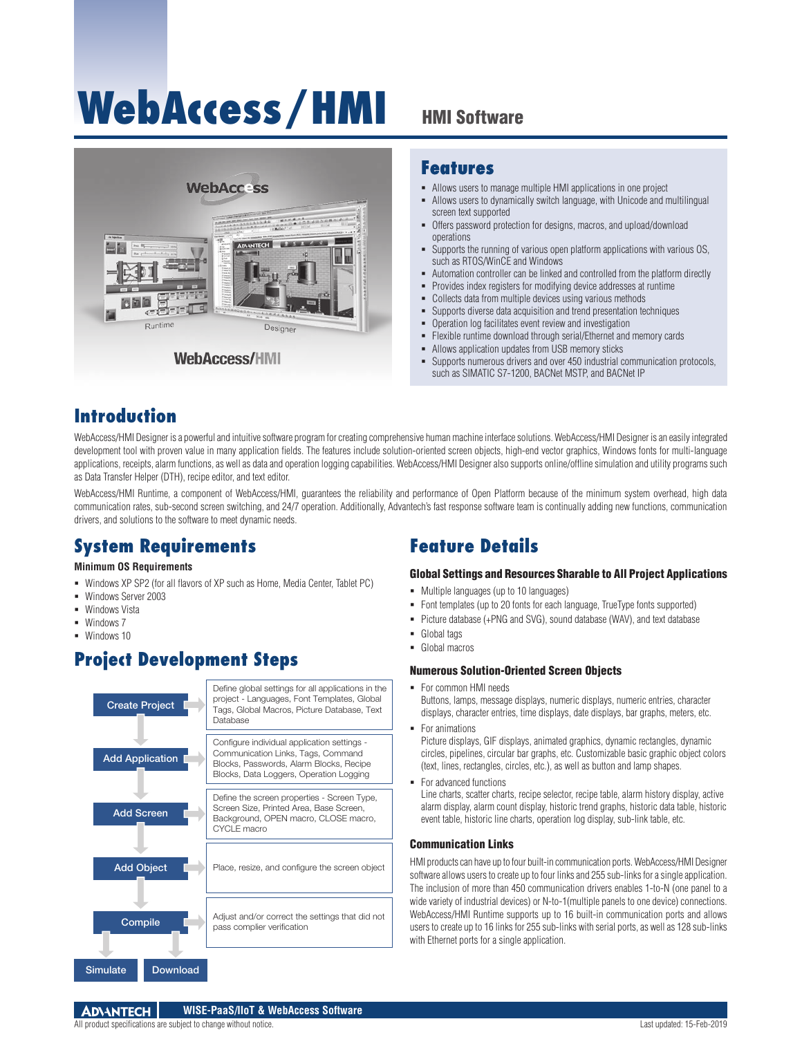# **WebAccess/HMI** HMI Software



### **Features**

- Allows users to manage multiple HMI applications in one project
- Allows users to dynamically switch language, with Unicode and multilingual screen text supported
- Offers password protection for designs, macros, and upload/download operations
- Supports the running of various open platform applications with various OS, such as RTOS/WinCE and Windows
- Automation controller can be linked and controlled from the platform directly
- Provides index registers for modifying device addresses at runtime
- Collects data from multiple devices using various methods
- Supports diverse data acquisition and trend presentation techniques
- Operation log facilitates event review and investigation<br>■ Elevible runtime download through serial/Ethernet and
	- Flexible runtime download through serial/Ethernet and memory cards
- Allows application updates from USB memory sticks
- Supports numerous drivers and over 450 industrial communication protocols, such as SIMATIC S7-1200, BACNet MSTP, and BACNet IP

### **Introduction**

WebAccess/HMI Designer is a powerful and intuitive software program for creating comprehensive human machine interface solutions. WebAccess/HMI Designer is an easily integrated development tool with proven value in many application fields. The features include solution-oriented screen objects, high-end vector graphics, Windows fonts for multi-language applications, receipts, alarm functions, as well as data and operation logging capabilities. WebAccess/HMI Designer also supports online/offline simulation and utility programs such as Data Transfer Helper (DTH), recipe editor, and text editor.

WebAccess/HMI Runtime, a component of WebAccess/HMI, quarantees the reliability and performance of Open Platform because of the minimum system overhead, high data communication rates, sub-second screen switching, and 24/7 operation. Additionally, Advantech's fast response software team is continually adding new functions, communication drivers, and solutions to the software to meet dynamic needs.

## **System Requirements**

### **Minimum OS Requirements**

- Windows XP SP2 (for all flavors of XP such as Home, Media Center, Tablet PC)
- Windows Server 2003
- **Windows Vista**
- Windows 7
- **Windows 10**

### **Project Development Steps**



### **Feature Details**

### Global Settings and Resources Sharable to All Project Applications

- Multiple languages (up to 10 languages)
- Font templates (up to 20 fonts for each language, TrueType fonts supported)
- Picture database (+PNG and SVG), sound database (WAV), and text database
- **Global tags**
- **Global macros**

#### Numerous Solution-Oriented Screen Objects

- For common HMI needs Buttons, lamps, message displays, numeric displays, numeric entries, character displays, character entries, time displays, date displays, bar graphs, meters, etc.
	- For animations Picture displays, GIF displays, animated graphics, dynamic rectangles, dynamic circles, pipelines, circular bar graphs, etc. Customizable basic graphic object colors (text, lines, rectangles, circles, etc.), as well as button and lamp shapes.
- For advanced functions

Line charts, scatter charts, recipe selector, recipe table, alarm history display, active alarm display, alarm count display, historic trend graphs, historic data table, historic event table, historic line charts, operation log display, sub-link table, etc.

### Communication Links

HMI products can have up to four built-in communication ports. WebAccess/HMI Designer software allows users to create up to four links and 255 sub-links for a single application. The inclusion of more than 450 communication drivers enables 1-to-N (one panel to a wide variety of industrial devices) or N-to-1(multiple panels to one device) connections. WebAccess/HMI Runtime supports up to 16 built-in communication ports and allows users to create up to 16 links for 255 sub-links with serial ports, as well as 128 sub-links with Ethernet ports for a single application.